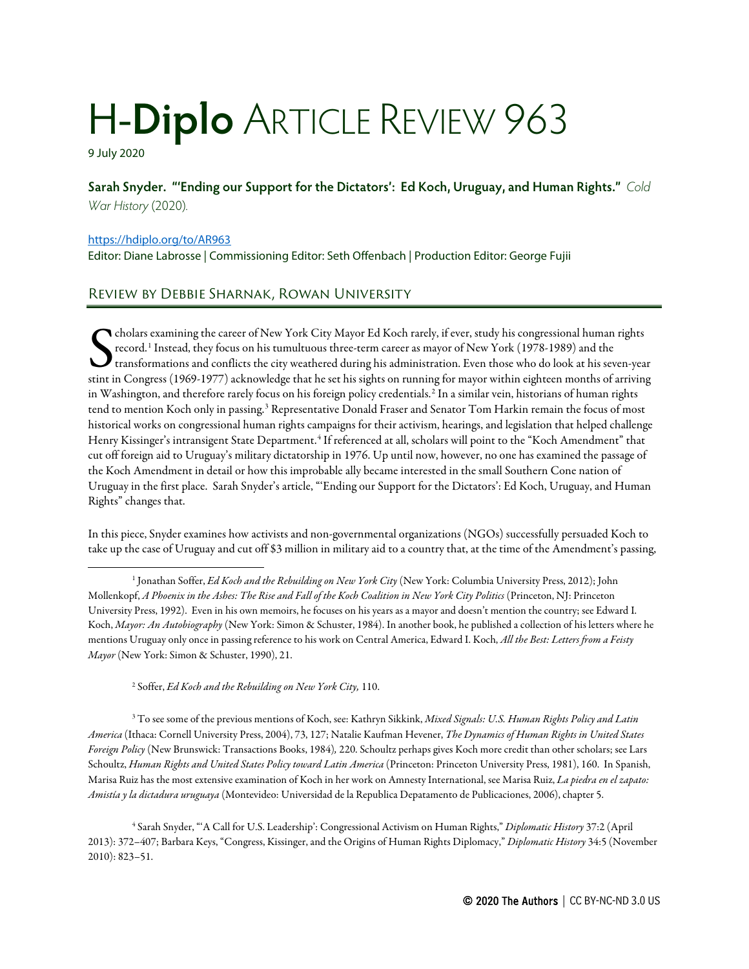## H-**Diplo** ARTICLE REVIEW 963

9 July 2020

**Sarah Snyder. "'Ending our Support for the Dictators': Ed Koch, Uruguay, and Human Rights."** *Cold War History* (2020).

## <https://hdiplo.org/to/AR963>

Editor: Diane Labrosse | Commissioning Editor: Seth Offenbach | Production Editor: George Fujii

## Review by Debbie Sharnak, Rowan University

cholars examining the career of New York City Mayor Ed Koch rarely, if ever, study his congressional human rights record.[1](#page-0-0) Instead, they focus on his tumultuous three-term career as mayor of New York (1978-1989) and the  $\bm{J}$  transformations and conflicts the city weathered during his administration. Even those who do look at his seven-year State of New York City Mayor Ed Koch rarely, if ever, study his congressional human rights<br>record.<sup>1</sup> Instead, they focus on his tumultuous three-term career as mayor of New York (1978-1989) and the<br>transformations and con in Washington, and therefore rarely focus on his foreign policy credentials.<sup>[2](#page-0-1)</sup> In a similar vein, historians of human rights tend to mention Koch only in passing.<sup>[3](#page-0-2)</sup> Representative Donald Fraser and Senator Tom Harkin remain the focus of most historical works on congressional human rights campaigns for their activism, hearings, and legislation that helped challenge Henry Kissinger's intransigent State Department.<sup>[4](#page-0-3)</sup> If referenced at all, scholars will point to the "Koch Amendment" that cut off foreign aid to Uruguay's military dictatorship in 1976. Up until now, however, no one has examined the passage of the Koch Amendment in detail or how this improbable ally became interested in the small Southern Cone nation of Uruguay in the first place. Sarah Snyder's article, "'Ending our Support for the Dictators': Ed Koch, Uruguay, and Human Rights" changes that.

In this piece, Snyder examines how activists and non-governmental organizations (NGOs) successfully persuaded Koch to take up the case of Uruguay and cut off \$3 million in military aid to a country that, at the time of the Amendment's passing,

<sup>2</sup> Soffer, *Ed Koch and the Rebuilding on New York City,* 110.

<span id="page-0-2"></span><span id="page-0-1"></span><sup>3</sup> To see some of the previous mentions of Koch, see: Kathryn Sikkink, *Mixed Signals: U.S. Human Rights Policy and Latin America* (Ithaca: Cornell University Press, 2004), 73, 127; Natalie Kaufman Hevener, *The Dynamics of Human Rights in United States Foreign Policy* (New Brunswick: Transactions Books, 1984)*,* 220. Schoultz perhaps gives Koch more credit than other scholars; see Lars Schoultz, *Human Rights and United States Policy toward Latin America* (Princeton: Princeton University Press, 1981), 160. In Spanish, Marisa Ruiz has the most extensive examination of Koch in her work on Amnesty International, see Marisa Ruiz, *La piedra en el zapato: Amistía y la dictadura uruguaya* (Montevideo: Universidad de la Republica Depatamento de Publicaciones, 2006), chapter 5.

<span id="page-0-3"></span><sup>4</sup> Sarah Snyder, "'A Call for U.S. Leadership': Congressional Activism on Human Rights," *Diplomatic History* 37:2 (April 2013): 372–407; Barbara Keys, "Congress, Kissinger, and the Origins of Human Rights Diplomacy," *Diplomatic History* 34:5 (November 2010): 823–51.

<span id="page-0-0"></span><sup>1</sup> Jonathan Soffer, *Ed Koch and the Rebuilding on New York City* (New York: Columbia University Press, 2012); John Mollenkopf, *A Phoenix in the Ashes: The Rise and Fall of the Koch Coalition in New York City Politics* (Princeton, NJ: Princeton University Press, 1992). Even in his own memoirs, he focuses on his years as a mayor and doesn't mention the country; see Edward I. Koch, *Mayor: An Autobiography* (New York: Simon & Schuster, 1984). In another book, he published a collection of his letters where he mentions Uruguay only once in passing reference to his work on Central America, Edward I. Koch, *All the Best: Letters from a Feisty Mayor* (New York: Simon & Schuster, 1990), 21.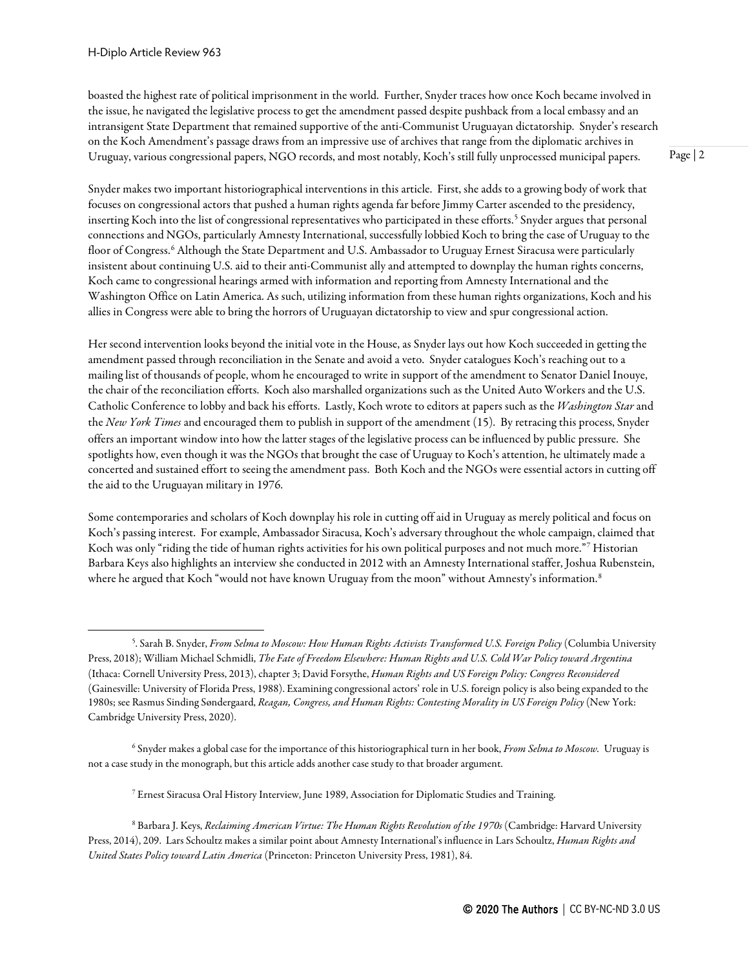boasted the highest rate of political imprisonment in the world. Further, Snyder traces how once Koch became involved in the issue, he navigated the legislative process to get the amendment passed despite pushback from a local embassy and an intransigent State Department that remained supportive of the anti-Communist Uruguayan dictatorship. Snyder's research on the Koch Amendment's passage draws from an impressive use of archives that range from the diplomatic archives in Uruguay, various congressional papers, NGO records, and most notably, Koch's still fully unprocessed municipal papers.

Snyder makes two important historiographical interventions in this article. First, she adds to a growing body of work that focuses on congressional actors that pushed a human rights agenda far before Jimmy Carter ascended to the presidency, inserting Koch into the list of congressional representatives who participated in these efforts.<sup>[5](#page-1-0)</sup> Snyder argues that personal connections and NGOs, particularly Amnesty International, successfully lobbied Koch to bring the case of Uruguay to the floor of Congress.<sup>[6](#page-1-1)</sup> Although the State Department and U.S. Ambassador to Uruguay Ernest Siracusa were particularly insistent about continuing U.S. aid to their anti-Communist ally and attempted to downplay the human rights concerns, Koch came to congressional hearings armed with information and reporting from Amnesty International and the Washington Office on Latin America. As such, utilizing information from these human rights organizations, Koch and his allies in Congress were able to bring the horrors of Uruguayan dictatorship to view and spur congressional action.

Her second intervention looks beyond the initial vote in the House, as Snyder lays out how Koch succeeded in getting the amendment passed through reconciliation in the Senate and avoid a veto. Snyder catalogues Koch's reaching out to a mailing list of thousands of people, whom he encouraged to write in support of the amendment to Senator Daniel Inouye, the chair of the reconciliation efforts. Koch also marshalled organizations such as the United Auto Workers and the U.S. Catholic Conference to lobby and back his efforts. Lastly, Koch wrote to editors at papers such as the *Washington Star*and the *New York Times* and encouraged them to publish in support of the amendment (15). By retracing this process, Snyder offers an important window into how the latter stages of the legislative process can be influenced by public pressure. She spotlights how, even though it was the NGOs that brought the case of Uruguay to Koch's attention, he ultimately made a concerted and sustained effort to seeing the amendment pass. Both Koch and the NGOs were essential actors in cutting off the aid to the Uruguayan military in 1976.

Some contemporaries and scholars of Koch downplay his role in cutting off aid in Uruguay as merely political and focus on Koch's passing interest. For example, Ambassador Siracusa, Koch's adversary throughout the whole campaign, claimed that Koch was only "riding the tide of human rights activities for his own political purposes and not much more."<sup>[7](#page-1-2)</sup> Historian Barbara Keys also highlights an interview she conducted in 2012 with an Amnesty International staffer, Joshua Rubenstein, where he argued that Koch "would not have known Uruguay from the moon" without Amnesty's information.<sup>[8](#page-1-3)</sup>

Page | 2

<span id="page-1-0"></span><sup>5</sup> . Sarah B. Snyder, *From Selma to Moscow: How Human Rights Activists Transformed U.S. Foreign Policy* (Columbia University Press, 2018); William Michael Schmidli, *The Fate of Freedom Elsewhere: Human Rights and U.S. Cold War Policy toward Argentina*  (Ithaca: Cornell University Press, 2013), chapter 3; David Forsythe, *Human Rights and US Foreign Policy: Congress Reconsidered*  (Gainesville: University of Florida Press, 1988). Examining congressional actors' role in U.S. foreign policy is also being expanded to the 1980s; see Rasmus Sinding Søndergaard, *Reagan, Congress, and Human Rights: Contesting Morality in US Foreign Policy* (New York: Cambridge University Press, 2020).

<span id="page-1-1"></span><sup>6</sup> Snyder makes a global case for the importance of this historiographical turn in her book, *From Selma to Moscow.* Uruguay is not a case study in the monograph, but this article adds another case study to that broader argument.

 $^7$  Ernest Siracusa Oral History Interview, June 1989, Association for Diplomatic Studies and Training.

<span id="page-1-3"></span><span id="page-1-2"></span><sup>8</sup> Barbara J. Keys, *Reclaiming American Virtue: The Human Rights Revolution of the 1970s* (Cambridge: Harvard University Press, 2014), 209. Lars Schoultz makes a similar point about Amnesty International's influence in Lars Schoultz, *Human Rights and United States Policy toward Latin America* (Princeton: Princeton University Press, 1981), 84.